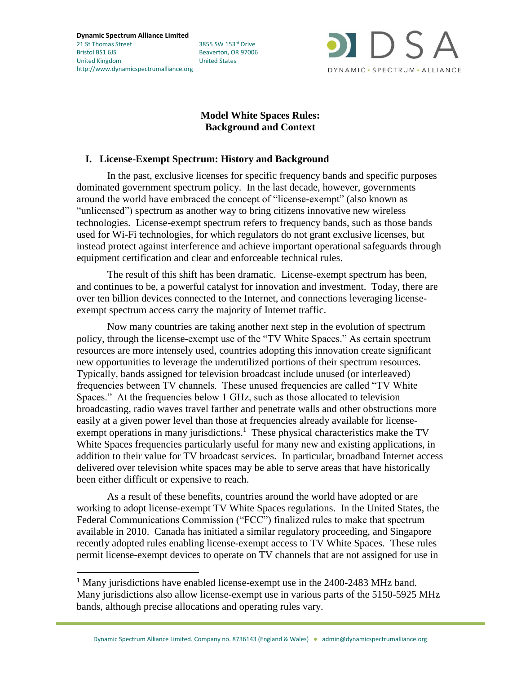**Dynamic Spectrum Alliance Limited** 21 St Thomas Street 3855 SW 153rd Drive Bristol BS1 6JS Beaverton, OR 97006 United Kingdom United States http://www.dynamicspectrumalliance.org

l



# **Model White Spaces Rules: Background and Context**

# **I. License-Exempt Spectrum: History and Background**

In the past, exclusive licenses for specific frequency bands and specific purposes dominated government spectrum policy. In the last decade, however, governments around the world have embraced the concept of "license-exempt" (also known as "unlicensed") spectrum as another way to bring citizens innovative new wireless technologies. License-exempt spectrum refers to frequency bands, such as those bands used for Wi-Fi technologies, for which regulators do not grant exclusive licenses, but instead protect against interference and achieve important operational safeguards through equipment certification and clear and enforceable technical rules.

The result of this shift has been dramatic. License-exempt spectrum has been, and continues to be, a powerful catalyst for innovation and investment. Today, there are over ten billion devices connected to the Internet, and connections leveraging licenseexempt spectrum access carry the majority of Internet traffic.

Now many countries are taking another next step in the evolution of spectrum policy, through the license-exempt use of the "TV White Spaces." As certain spectrum resources are more intensely used, countries adopting this innovation create significant new opportunities to leverage the underutilized portions of their spectrum resources. Typically, bands assigned for television broadcast include unused (or interleaved) frequencies between TV channels. These unused frequencies are called "TV White Spaces." At the frequencies below 1 GHz, such as those allocated to television broadcasting, radio waves travel farther and penetrate walls and other obstructions more easily at a given power level than those at frequencies already available for licenseexempt operations in many jurisdictions.<sup>1</sup> These physical characteristics make the TV White Spaces frequencies particularly useful for many new and existing applications, in addition to their value for TV broadcast services. In particular, broadband Internet access delivered over television white spaces may be able to serve areas that have historically been either difficult or expensive to reach.

As a result of these benefits, countries around the world have adopted or are working to adopt license-exempt TV White Spaces regulations. In the United States, the Federal Communications Commission ("FCC") finalized rules to make that spectrum available in 2010. Canada has initiated a similar regulatory proceeding, and Singapore recently adopted rules enabling license-exempt access to TV White Spaces. These rules permit license-exempt devices to operate on TV channels that are not assigned for use in

<sup>&</sup>lt;sup>1</sup> Many jurisdictions have enabled license-exempt use in the 2400-2483 MHz band. Many jurisdictions also allow license-exempt use in various parts of the 5150-5925 MHz bands, although precise allocations and operating rules vary.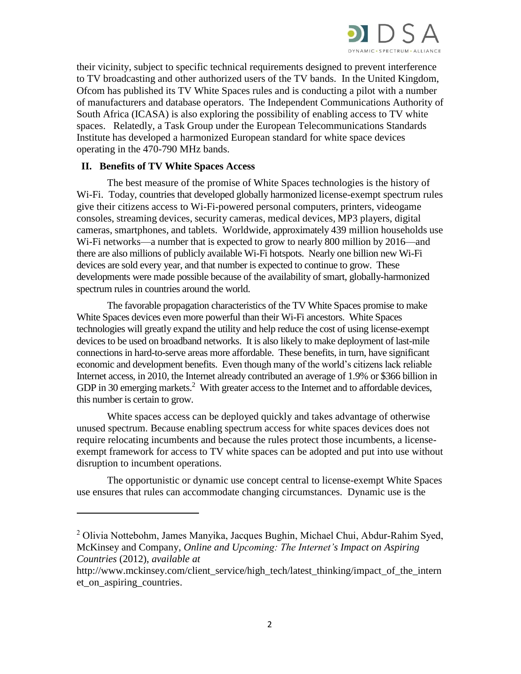

their vicinity, subject to specific technical requirements designed to prevent interference to TV broadcasting and other authorized users of the TV bands. In the United Kingdom, Ofcom has published its TV White Spaces rules and is conducting a pilot with a number of manufacturers and database operators. The Independent Communications Authority of South Africa (ICASA) is also exploring the possibility of enabling access to TV white spaces. Relatedly, a Task Group under the European Telecommunications Standards Institute has developed a harmonized European standard for white space devices operating in the 470-790 MHz bands.

## **II. Benefits of TV White Spaces Access**

 $\overline{\phantom{a}}$ 

The best measure of the promise of White Spaces technologies is the history of Wi-Fi. Today, countries that developed globally harmonized license-exempt spectrum rules give their citizens access to Wi-Fi-powered personal computers, printers, videogame consoles, streaming devices, security cameras, medical devices, MP3 players, digital cameras, smartphones, and tablets. Worldwide, approximately 439 million households use Wi-Fi networks—a number that is expected to grow to nearly 800 million by 2016—and there are also millions of publicly available Wi-Fi hotspots. Nearly one billion new Wi-Fi devices are sold every year, and that number is expected to continue to grow. These developments were made possible because of the availability of smart, globally-harmonized spectrum rules in countries around the world.

The favorable propagation characteristics of the TV White Spaces promise to make White Spaces devices even more powerful than their Wi-Fi ancestors. White Spaces technologies will greatly expand the utility and help reduce the cost of using license-exempt devices to be used on broadband networks. It is also likely to make deployment of last-mile connections in hard-to-serve areas more affordable. These benefits, in turn, have significant economic and development benefits. Even though many of the world's citizens lack reliable Internet access, in 2010, the Internet already contributed an average of 1.9% or \$366 billion in GDP in 30 emerging markets.<sup>2</sup> With greater access to the Internet and to affordable devices, this number is certain to grow.

White spaces access can be deployed quickly and takes advantage of otherwise unused spectrum. Because enabling spectrum access for white spaces devices does not require relocating incumbents and because the rules protect those incumbents, a licenseexempt framework for access to TV white spaces can be adopted and put into use without disruption to incumbent operations.

The opportunistic or dynamic use concept central to license-exempt White Spaces use ensures that rules can accommodate changing circumstances. Dynamic use is the

<sup>2</sup> Olivia Nottebohm, James Manyika, Jacques Bughin, Michael Chui, Abdur-Rahim Syed, McKinsey and Company, *Online and Upcoming: The Internet's Impact on Aspiring Countries* (2012), *available at* 

http://www.mckinsey.com/client\_service/high\_tech/latest\_thinking/impact\_of\_the\_intern et on aspiring countries.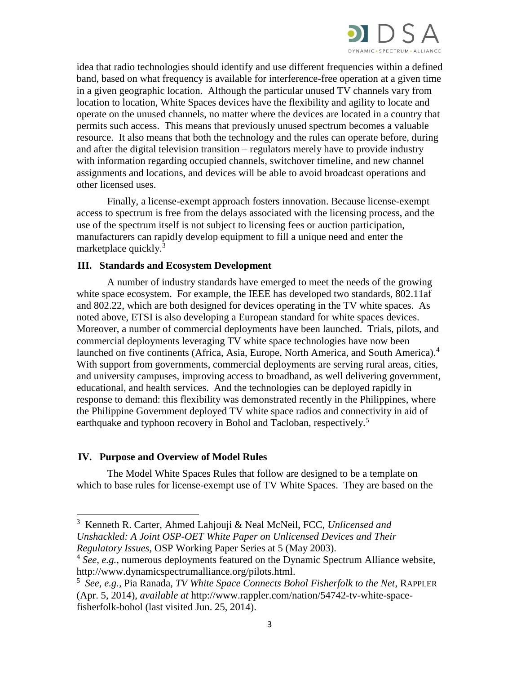

idea that radio technologies should identify and use different frequencies within a defined band, based on what frequency is available for interference-free operation at a given time in a given geographic location. Although the particular unused TV channels vary from location to location, White Spaces devices have the flexibility and agility to locate and operate on the unused channels, no matter where the devices are located in a country that permits such access. This means that previously unused spectrum becomes a valuable resource. It also means that both the technology and the rules can operate before, during and after the digital television transition – regulators merely have to provide industry with information regarding occupied channels, switchover timeline, and new channel assignments and locations, and devices will be able to avoid broadcast operations and other licensed uses.

Finally, a license-exempt approach fosters innovation. Because license-exempt access to spectrum is free from the delays associated with the licensing process, and the use of the spectrum itself is not subject to licensing fees or auction participation, manufacturers can rapidly develop equipment to fill a unique need and enter the marketplace quickly.<sup>3</sup>

### **III. Standards and Ecosystem Development**

A number of industry standards have emerged to meet the needs of the growing white space ecosystem. For example, the IEEE has developed two standards, 802.11af and 802.22, which are both designed for devices operating in the TV white spaces. As noted above, ETSI is also developing a European standard for white spaces devices. Moreover, a number of commercial deployments have been launched. Trials, pilots, and commercial deployments leveraging TV white space technologies have now been launched on five continents (Africa, Asia, Europe, North America, and South America).<sup>4</sup> With support from governments, commercial deployments are serving rural areas, cities, and university campuses, improving access to broadband, as well delivering government, educational, and health services. And the technologies can be deployed rapidly in response to demand: this flexibility was demonstrated recently in the Philippines, where the Philippine Government deployed TV white space radios and connectivity in aid of earthquake and typhoon recovery in Bohol and Tacloban, respectively.<sup>5</sup>

## **IV. Purpose and Overview of Model Rules**

 $\overline{\phantom{a}}$ 

The Model White Spaces Rules that follow are designed to be a template on which to base rules for license-exempt use of TV White Spaces. They are based on the

<sup>3</sup> Kenneth R. Carter, Ahmed Lahjouji & Neal McNeil, FCC, *Unlicensed and Unshackled: A Joint OSP-OET White Paper on Unlicensed Devices and Their Regulatory Issues*, OSP Working Paper Series at 5 (May 2003).

<sup>&</sup>lt;sup>4</sup> See, e.g., numerous deployments featured on the Dynamic Spectrum Alliance website, http://www.dynamicspectrumalliance.org/pilots.html.

<sup>5</sup> *See, e.g.,* Pia Ranada, *TV White Space Connects Bohol Fisherfolk to the Net*, RAPPLER (Apr. 5, 2014), *available at* http://www.rappler.com/nation/54742-tv-white-spacefisherfolk-bohol (last visited Jun. 25, 2014).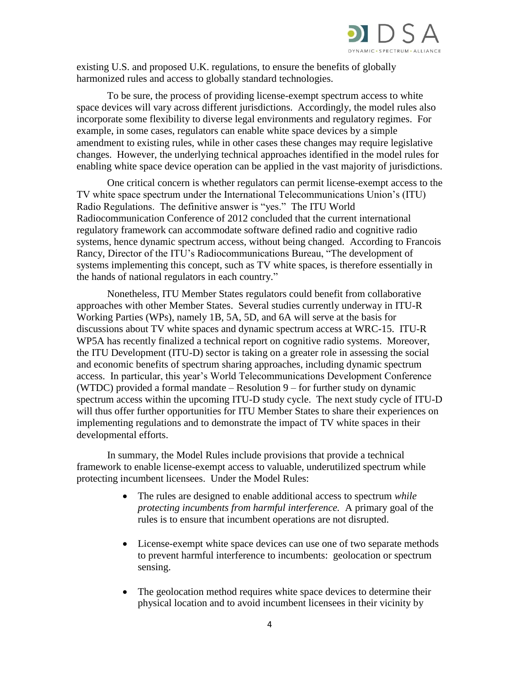

existing U.S. and proposed U.K. regulations, to ensure the benefits of globally harmonized rules and access to globally standard technologies.

To be sure, the process of providing license-exempt spectrum access to white space devices will vary across different jurisdictions. Accordingly, the model rules also incorporate some flexibility to diverse legal environments and regulatory regimes. For example, in some cases, regulators can enable white space devices by a simple amendment to existing rules, while in other cases these changes may require legislative changes. However, the underlying technical approaches identified in the model rules for enabling white space device operation can be applied in the vast majority of jurisdictions.

One critical concern is whether regulators can permit license-exempt access to the TV white space spectrum under the International Telecommunications Union's (ITU) Radio Regulations. The definitive answer is "yes." The ITU World Radiocommunication Conference of 2012 concluded that the current international regulatory framework can accommodate software defined radio and cognitive radio systems, hence dynamic spectrum access, without being changed. According to Francois Rancy, Director of the ITU's Radiocommunications Bureau, "The development of systems implementing this concept, such as TV white spaces, is therefore essentially in the hands of national regulators in each country."

Nonetheless, ITU Member States regulators could benefit from collaborative approaches with other Member States. Several studies currently underway in ITU-R Working Parties (WPs), namely 1B, 5A, 5D, and 6A will serve at the basis for discussions about TV white spaces and dynamic spectrum access at WRC-15. ITU-R WP5A has recently finalized a technical report on cognitive radio systems. Moreover, the ITU Development (ITU-D) sector is taking on a greater role in assessing the social and economic benefits of spectrum sharing approaches, including dynamic spectrum access. In particular, this year's World Telecommunications Development Conference (WTDC) provided a formal mandate – Resolution 9 – for further study on dynamic spectrum access within the upcoming ITU-D study cycle. The next study cycle of ITU-D will thus offer further opportunities for ITU Member States to share their experiences on implementing regulations and to demonstrate the impact of TV white spaces in their developmental efforts.

In summary, the Model Rules include provisions that provide a technical framework to enable license-exempt access to valuable, underutilized spectrum while protecting incumbent licensees. Under the Model Rules:

- The rules are designed to enable additional access to spectrum *while protecting incumbents from harmful interference.* A primary goal of the rules is to ensure that incumbent operations are not disrupted.
- License-exempt white space devices can use one of two separate methods to prevent harmful interference to incumbents: geolocation or spectrum sensing.
- The geolocation method requires white space devices to determine their physical location and to avoid incumbent licensees in their vicinity by